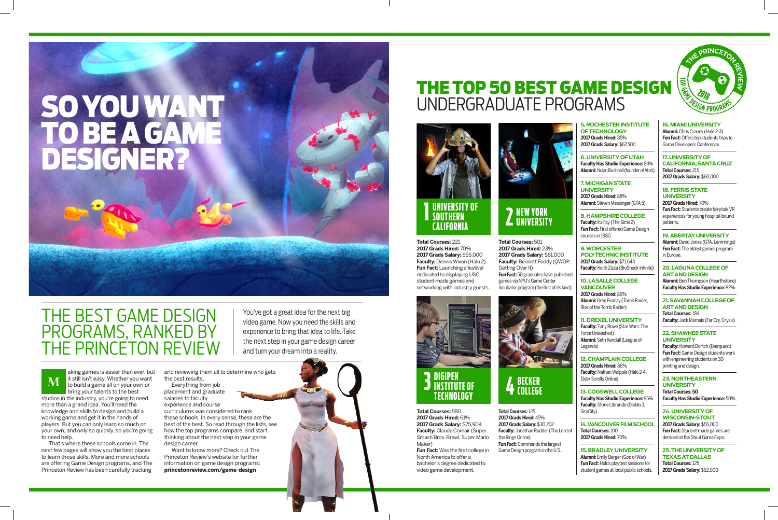## THE BEST GAME DESIGN PROGRAMS, RANKED BY THE PRINCETON REVIEW

players. But you can only learn so much on your own, and only so quickly, so you're going

to need help.

That's where these schools come in. The next few pages will show you the best places to learn those skills. More and more schools are offering Game Design programs, and The Princeton Review has been carefully tracking

and reviewing them all to determine who gets the best results.

Everything from job placement and graduate salaries to faculty experience and course curriculums was considered to rank these schools. In every sense, these are the best of the best. So read through the lists, see how the top programs compare, and start thinking about the next step in your game design career.

Want to know more? Check out The Princeton Review's website for further information on game design programs: **princetonreview.com/game-design**

aking games is easier than ever, but it still isn't easy. Whether you want to build a game all on your own or bring your talents to the best studios in the industry, you're going to need more than a grand idea. You'll need the knowledge and skills to design and build a working game and get it in the hands of **M**

# SO YOU WANT TO BE A GAME DESIGNER?

You've got a great idea for the next big video game. Now you need the skills and experience to bring that idea to life. Take the next step in your game design career and turn your dream into a reality.

## THE TOP 50 BEST GAME DESIGN UNDERGRADUATE PROGRAMS

**Total Courses:** 221 **2017 Grads Hired:** 70% **2017 Grads Salary:** \$65,000 **Faculty:** Dennis Wixon (Halo 2) **Fun Fact:** Launching a festival dedicated to displaying USC student-made games and networking with industry guests.



**Total Courses:** 501 **2017 Grads Hired:** 23% **2017 Grads Salary:** \$61,000 **Faculty:** Bennett Foddy (QWOP,

Getting Over It)

**Fun Fact:**50 graduates have published games via NYU's Game Center Incubator program (the first of its kind).

**Total Courses:** 125 **2017 Grads Hired:** 45% **2017 Grads Salary:** \$30,202 **Faculty:** Jonathan Rudder (The Lord of

the Rings Online)

**Fun Fact:** Commands the largest Game Design program in the U.S.. **Faculty:** Howard Dortch (Everquest) **Fun Fact:** Game Design students work with engineering students on 3D printing and design.

**Total Courses:** 580 **2017 Grads Hired:** 61% **2017 Grads Salary:** \$75,904 **Faculty:** Claude Comair (Super Smash Bros. Brawl, Super Mario Maker)

**Fun Fact:** Was the first college in North America to offer a bachelor's degree dedicated to video game development.

## **OF TECHNOLOGY 2017 Grads Hired:** 85%

## **5. ROCHESTER INSTITUTE 2017 Grads Salary:** \$67,500

**6. UNIVERSITY OF UTAH Faculty Has Studio Experience:** 84% **Alumni:** Nolan Bushnell (founder of Atari)

### **7. MICHIGAN STATE**

**UNIVERSITY 2017 Grads Hired:** 88%

**Alumni:** Steven Messinger (GTA 5)

#### **8. HAMPSHIRE COLLEGE**

**Faculty:** Ira Fay (The Sims 2) **Fun Fact:** First offered Game Design

courses in 1980.

**9. WORCESTER** 

## **POLYTECHNIC INSTITUTE**

**2017 Grads Salary:** \$71,644 **Faculty:** Keith Zizza (BioShock Infinite)

## **10. LASALLE COLLEGE**

**VANCOUVER 2017 Grads Hired:** 86% Rise of the Tomb Raider)

**Alumni:** Greg Findlay (Tomb Raider,

### **11. DREXEL UNIVERSITY**

**Faculty:** Tony Rowe (Star Wars: The Force Unleashed) **Alumni:** Seth Kendall (League of Legends)

#### **12. CHAMPLAIN COLLEGE**

## **2017 Grads Hired:** 86%

**Faculty:** Nathan Walpole (Halo 2-4, Elder Scrolls Online)

#### **13. COGSWELL COLLEGE Faculty Has Studio Experience:** 95% **Faculty:** Stone Librande (Diablo 3,

SimCity)

**14. VANCOUVER FILM SCHOOL Total Courses:** 100 **2017 Grads Hired:** 70%

## **15. BRADLEY UNIVERSITY**

**Alumni:** Emily Berger (God of War) **Fun Fact:** Holds playtest sessions for student games at local public schools.



#### **16. MIAMI UNIVERSITY**

**Alumni:** Chris Craney (Halo 2-3) **Fun Fact:** Offers top students trips to Game Developers Conference.

#### **17. UNIVERSITY OF CALIFORNIA, SANTA CRUZ**

**Total Courses:** 215 **2017 Grads Salary:** \$60,000

#### **18. FERRIS STATE UNIVERSITY**

**2017 Grads Hired:** 70% **Fun Fact:** Students create fairytale VR experiences for young hospital-bound patients.

#### **19. ABERTAY UNIVERSITY**

**Alumni:** David Jones (GTA, Lemmings) **Fun Fact:** The oldest games program in Europe.

#### **20. LAGUNA COLLEGE OF ART AND DESIGN**

**Alumni:** Ben Thompson (Hearthstone) **Faculty Has Studio Experience:** 92%

#### **21. SAVANNAH COLLEGE OF ART AND DESIGN Total Courses:** 184

**Faculty:** Jack Mamais (Far Cry, Crysis)

#### **22. SHAWNEE STATE UNIVERSITY**

#### **23. NORTHEASTERN UNIVERSITY Total Courses: 50 Faculty Has Studio Experience:** 50%

**24. UNIVERSITY OF WISCONSIN-STOUT 2017 Grads Salary:** \$55,000 **Fun Fact:** Student-made games are demoed at the Stout Game Expo.

#### **25. THE UNIVERSITY OF TEXAS AT DALLAS Total Courses:** 125 **2017 Grads Salary:** \$62,000



### **3 DIGIPEN INSTITUTE OF TEC HNOL O GY**

**4 BEC K ER COLLEGE**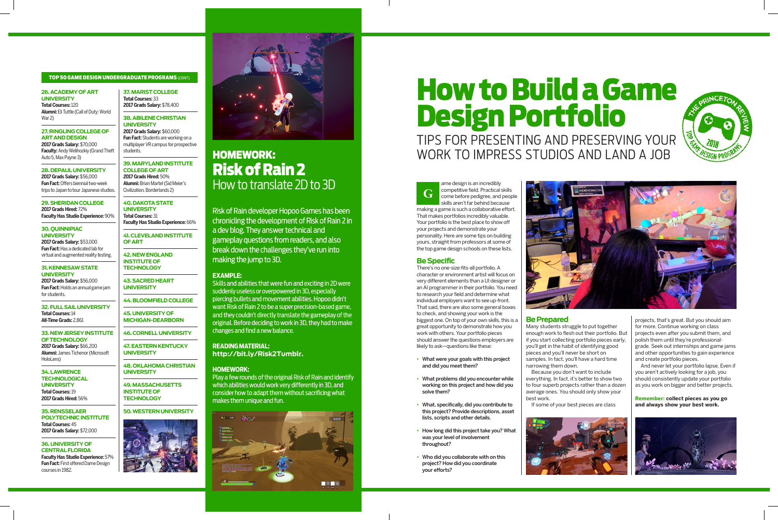## How to Build a Game Design Portfolio TIPS FOR PRESENTING AND PRESERVING YOUR





#### **Be Specific**

There's no one-size-fits-all portfolio. A character or environment artist will focus on very different elements than a UI designer or an AI programmer in their portfolio. You need to research your field and determine what individual employers want to see up-front. That said, there are also some general boxes to check, and showing your work is the biggest one. On top of your own skills, this is a great opportunity to demonstrate how you work with others. Your portfolio pieces should answer the questions employers are likely to ask—questions like these:

ame design is an incredibly competitive field. Practical skills come before pedigree, and people skills aren't far behind because making a game is such a collaborative effort. That makes portfolios incredibly valuable. Your portfolio is the best place to show off your projects and demonstrate your personality. Here are some tips on building yours, straight from professors at some of the top game design schools on these lists. **G**

- What were your goals with this project and did you meet them?
- What problems did you encounter while working on this project and how did you solve them?
- What, specifically, did you contribute to this project? Provide descriptions, asset lists, scripts and other details.
- How long did this project take you? What was your level of involvement throughout?
- Who did you collaborate with on this project? How did you coordinate your efforts?



#### **Be Prepared**

**Faculty:** Andy Welihozkiy (Grand Theft Auto 5, Max Payne 3)

> Many students struggle to put together enough work to flesh out their portfolio. But if you start collecting portfolio pieces early, you'll get in the habit of identifying good pieces and you'll never be short on samples. In fact, you'll have a hard time narrowing them down.

Because you don't want to include everything. In fact, it's better to show two to four superb projects rather than a dozen average ones. You should only show your best work.

If some of your best pieces are class



## HOMEWORK: Risk of Rain 2 How to translate 2D to 3D

Risk of Rain developer Hopoo Games has been chronicling the development of Risk of Rain 2 in a dev blog. They answer technical and gameplay questions from readers, and also break down the challenges they've run into making the jump to 3D.

#### **EXAMPLE:**

Skills and abilities that were fun and exciting in 2D were suddenly useless or overpowered in 3D, especially piercing bullets and movement abilities. Hopoo didn't want Risk of Rain 2 to be a super precision-based game, and they couldn't directly translate the gameplay of the original. Before deciding to work in 3D, they had to make changes and find a new balance.

**READING MATERIAL: http://bit.ly/Risk2Tumblr.**

#### **HOMEWORK:**

Play a few rounds of the original Risk of Rain and identify which abilities would work very differently in 3D, and consider how to adapt them without sacrificing what makes them unique and fun.



#### **26. ACADEMY OF ART UNIVERSITY**

**Total Courses:** 120 **Alumni:** Eli Tuttle (Call of Duty: World War 2)

#### **27. RINGLING COLLEGE OF ART AND DESIGN 2017 Grads Salary:** \$70,000

**28. DEPAUL UNIVERSITY 2017 Grads Salary:** \$56,000 **Fun Fact:** Offers biennial two-week trips to Japan to tour Japanese studios.

**29. SHERIDAN COLLEGE 2017 Grads Hired:** 72% **Faculty Has Studio Experience:** 90%

#### **30. QUINNIPIAC UNIVERSITY**

**2017 Grads Salary:** \$53,000 **Fun Fact:** Has a dedicated lab for virtual and augmented reality testing.

#### **31. KENNESAW STATE UNIVERSITY**

**2017 Grads Salary:** \$56,000 **Fun Fact:** Holds an annual game jam for students.

**32. FULL SAIL UNIVERSITY Total Courses:** 14 **All-Time Grads:** 2,861

**33. NEW JERSEY INSTITUTE OF TECHNOLOGY 2017 Grads Salary:** \$66,200 **Alumni:** James Tichenor (Microsoft HoloLens)

**34. LAWRENCE TECHNOLOGICAL UNIVERSITY Total Courses:** 19 **2017 Grads Hired:** 56%

**35. RENSSELAER POLYTECHNIC INSTITUTE Total Courses:** 45 **2017 Grads Salary:** \$72,000

#### **36. UNIVERSITY OF CENTRAL FLORIDA Faculty Has Studio Experience:** 57% **Fun Fact:** First offered Dame Design courses in 1982.

**37. MARIST COLLEGE Total Courses:** 33 **2017 Grads Salary:** \$78,400

**38. ABILENE CHRISTIAN UNIVERSITY 2017 Grads Salary:** \$60,000 **Fun Fact:** Students are working on a multiplayer VR campus for prospective students.

**39. MARYLAND INSTITUTE COLLEGE OF ART 2017 Grads Hired:** 50% **Alumni:** Brian Martel (Sid Meier's Civilization, Borderlands 2)

#### **40. DAKOTA STATE UNIVERSITY**

**Total Courses:** 31 **Faculty Has Studio Experience:** 66%

**41. CLEVELAND INSTITUTE OF ART**

**42. NEW ENGLAND INSTITUTE OF TECHNOLOGY** 

**43. SACRED HEART UNIVERSITY**

**44. BLOOMFIELD COLLEGE 45. UNIVERSITY OF MICHIGAN-DEARBORN**

**46. CORNELL UNIVERSITY**

**47. EASTERN KENTUCKY UNIVERSITY**

**48. OKLAHOMA CHRISTIAN UNIVERSITY**

**49. MASSACHUSETTS INSTITUTE OF TECHNOLOGY**

#### **50. WESTERN UNIVERSITY**





#### TOP 50 GAME DESIGN UNDERGRADUATE PROGRAMS (CONT)

projects, that's great. But you should aim for more. Continue working on class projects even after you submit them, and polish them until they're professionalgrade. Seek out internships and game jams and other opportunities to gain experience and create portfolio pieces.

And never let your portfolio lapse. Even if you aren't actively looking for a job, you should consistently update your portfolio as you work on bigger and better projects.

**Remember: collect pieces as you go and always show your best work.**